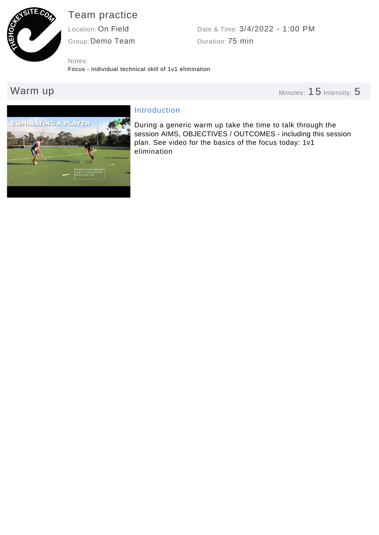

# Team practice

Group: Demo Team Location: On Field

Duration: 75 min Date & Time: 3/4/2022 - 1:00 PM

Notes:

Focus - Individual technical skill of 1v1 elimination

Warm up **Minutes: 15** Intensity: 5



# Introduction

During a generic warm up take the time to talk through the session AIMS, OBJECTIVES / OUTCOMES - including this session plan. See video for the basics of the focus today: 1v1 elimination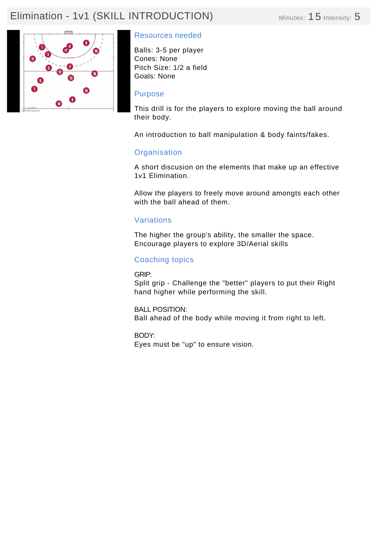# Elimination - 1v1 (SKILL INTRODUCTION) Minutes: 15 Intensity: 5



## Resources needed

Balls: 3-5 per player Cones: None Pitch Size: 1/2 a field Goals: None

#### Purpose

This drill is for the players to explore moving the ball around their body.

An introduction to ball manipulation & body faints/fakes.

#### **Organisation**

A short discusion on the elements that make up an effective 1v1 Elimination.

Allow the players to freely move around amongts each other with the ball ahead of them.

#### Variations

The higher the group's ability, the smaller the space. Encourage players to explore 3D/Aerial skills

## Coaching topics

GRIP:

Split grip - Challenge the "better" players to put their Right hand higher while performing the skill.

BALL POSITION: Ball ahead of the body while moving it from right to left.

BODY: Eyes must be "up" to ensure vision.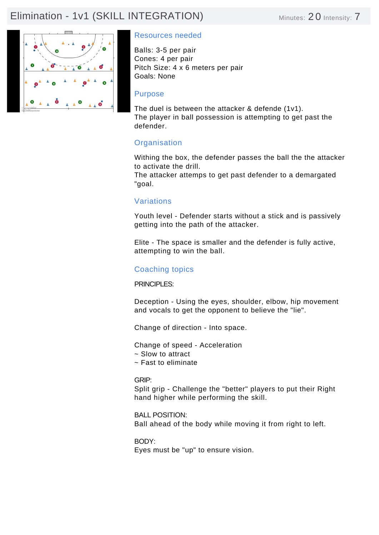# Elimination - 1v1 (SKILL INTEGRATION) Minutes: 20 Intensity: 7



## Resources needed

Balls: 3-5 per pair Cones: 4 per pair Pitch Size: 4 x 6 meters per pair Goals: None

#### Purpose

The duel is between the attacker & defende (1v1). The player in ball possession is attempting to get past the defender.

# **Organisation**

Withing the box, the defender passes the ball the the attacker to activate the drill.

The attacker attemps to get past defender to a demargated "goal.

## Variations

Youth level - Defender starts without a stick and is passively getting into the path of the attacker.

Elite - The space is smaller and the defender is fully active, attempting to win the ball.

## Coaching topics

#### PRINCIPI FS<sup>.</sup>

Deception - Using the eyes, shoulder, elbow, hip movement and vocals to get the opponent to believe the "lie".

Change of direction - Into space.

Change of speed - Acceleration

- ~ Slow to attract
- ~ Fast to eliminate

#### GRIP:

Split grip - Challenge the "better" players to put their Right hand higher while performing the skill.

BALL POSITION: Ball ahead of the body while moving it from right to left.

BODY: Eyes must be "up" to ensure vision.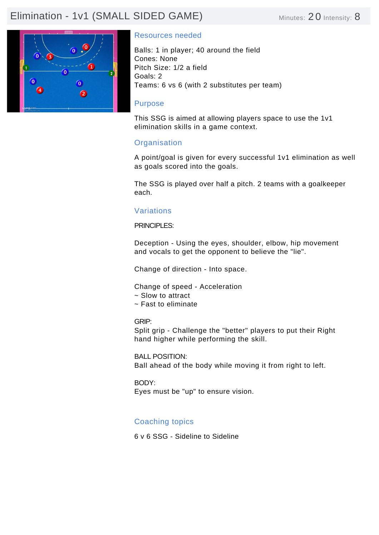# Elimination - 1v1 (SMALL SIDED GAME) Minutes: 20 Intensity: 8



#### Resources needed

Balls: 1 in player; 40 around the field Cones: None Pitch Size: 1/2 a field Goals: 2 Teams: 6 vs 6 (with 2 substitutes per team)

#### Purpose

This SSG is aimed at allowing players space to use the 1v1 elimination skills in a game context.

## **Organisation**

A point/goal is given for every successful 1v1 elimination as well as goals scored into the goals.

The SSG is played over half a pitch. 2 teams with a goalkeeper each.

## Variations

PRINCIPLES:

Deception - Using the eyes, shoulder, elbow, hip movement and vocals to get the opponent to believe the "lie".

Change of direction - Into space.

Change of speed - Acceleration

- ~ Slow to attract
- ~ Fast to eliminate

GRIP:

Split grip - Challenge the "better" players to put their Right hand higher while performing the skill.

BALL POSITION: Ball ahead of the body while moving it from right to left.

BODY: Eyes must be "up" to ensure vision.

## Coaching topics

6 v 6 SSG - Sideline to Sideline